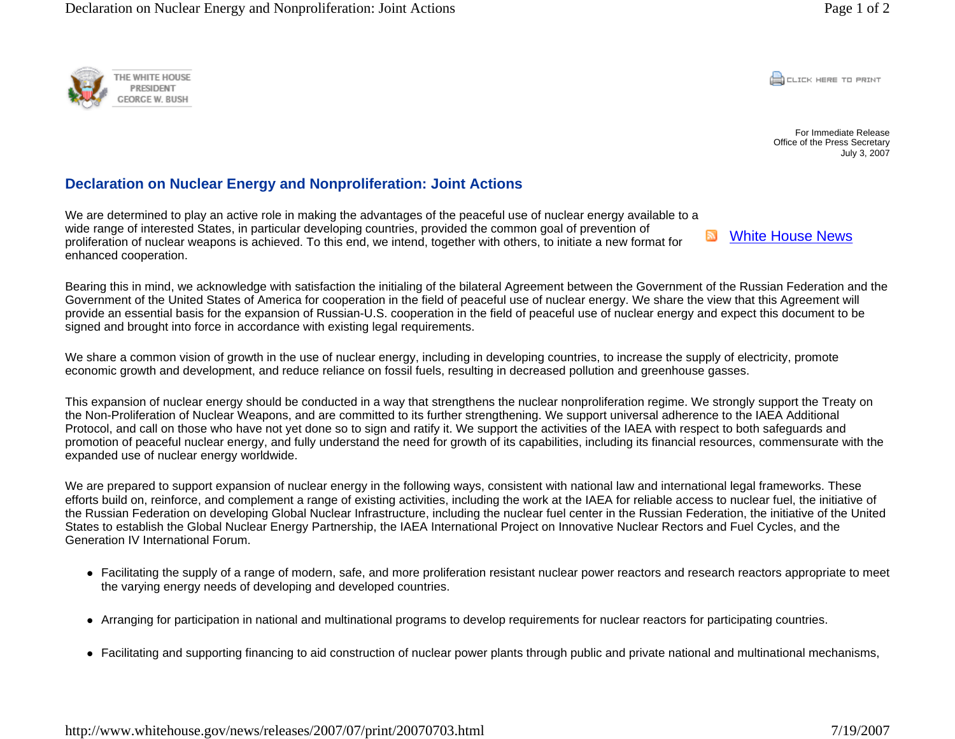**CONCRETE PRINT** 

For Immediate ReleaseOffice of the Press Secretary July 3, 2007

White House News

## THE WHITE HOUSE PRESIDENT **EORGE W. BUSH**

## **Declaration on Nuclear Energy and Nonproliferation: Joint Actions**

We are determined to play an active role in making the advantages of the peaceful use of nuclear energy available to a wide range of interested States, in particular developing countries, provided the common goal of prevention of proliferation of nuclear weapons is achieved. To this end, we intend, together with others, to initiate a new format for enhanced cooperation.

Bearing this in mind, we acknowledge with satisfaction the initialing of the bilateral Agreement between the Government of the Russian Federation and the Government of the United States of America for cooperation in the field of peaceful use of nuclear energy. We share the view that this Agreement will provide an essential basis for the expansion of Russian-U.S. cooperation in the field of peaceful use of nuclear energy and expect this document to be signed and brought into force in accordance with existing legal requirements.

We share a common vision of growth in the use of nuclear energy, including in developing countries, to increase the supply of electricity, promote economic growth and development, and reduce reliance on fossil fuels, resulting in decreased pollution and greenhouse gasses.

This expansion of nuclear energy should be conducted in a way that strengthens the nuclear nonproliferation regime. We strongly support the Treaty on the Non-Proliferation of Nuclear Weapons, and are committed to its further strengthening. We support universal adherence to the IAEA Additional Protocol, and call on those who have not yet done so to sign and ratify it. We support the activities of the IAEA with respect to both safeguards and promotion of peaceful nuclear energy, and fully understand the need for growth of its capabilities, including its financial resources, commensurate with the expanded use of nuclear energy worldwide.

We are prepared to support expansion of nuclear energy in the following ways, consistent with national law and international legal frameworks. These efforts build on, reinforce, and complement a range of existing activities, including the work at the IAEA for reliable access to nuclear fuel, the initiative of the Russian Federation on developing Global Nuclear Infrastructure, including the nuclear fuel center in the Russian Federation, the initiative of the United States to establish the Global Nuclear Energy Partnership, the IAEA International Project on Innovative Nuclear Rectors and Fuel Cycles, and the Generation IV International Forum.

- Facilitating the supply of a range of modern, safe, and more proliferation resistant nuclear power reactors and research reactors appropriate to meet the varying energy needs of developing and developed countries.
- Arranging for participation in national and multinational programs to develop requirements for nuclear reactors for participating countries.
- Facilitating and supporting financing to aid construction of nuclear power plants through public and private national and multinational mechanisms,